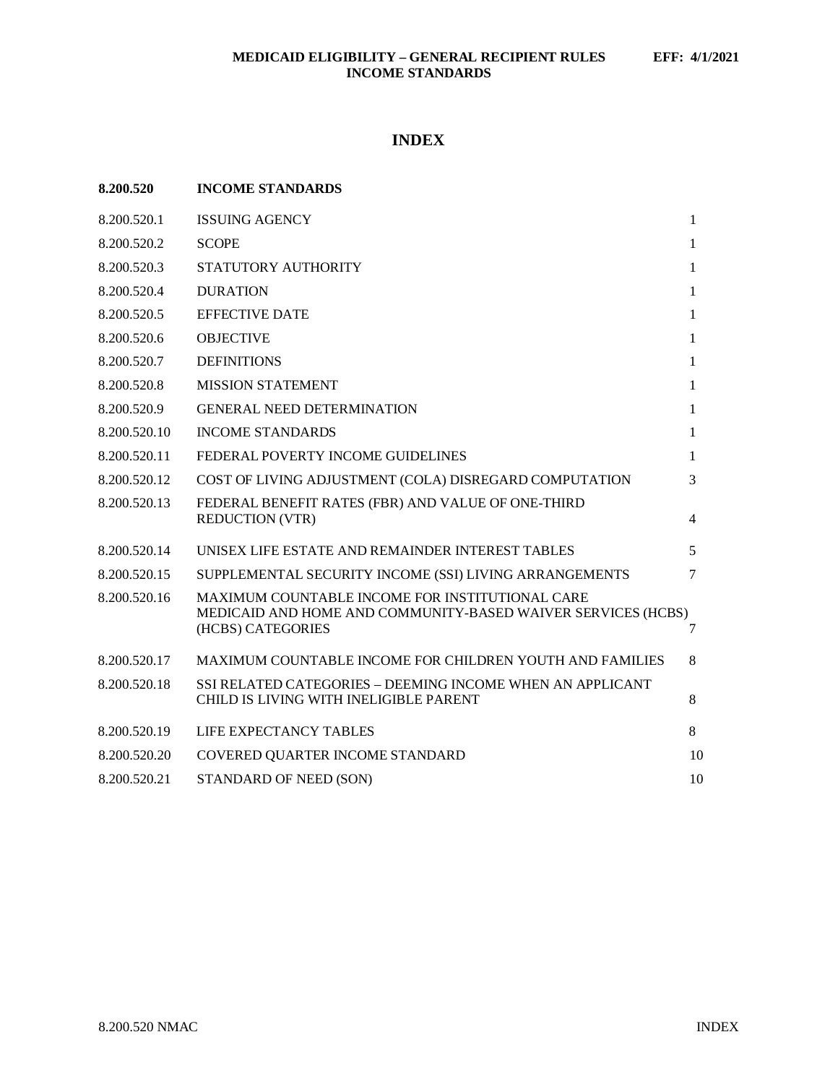# **INDEX**

| 8.200.520    | <b>INCOME STANDARDS</b>                                                                                                              |              |
|--------------|--------------------------------------------------------------------------------------------------------------------------------------|--------------|
| 8.200.520.1  | <b>ISSUING AGENCY</b>                                                                                                                | $\mathbf{1}$ |
| 8.200.520.2  | <b>SCOPE</b>                                                                                                                         | $\mathbf{1}$ |
| 8.200.520.3  | STATUTORY AUTHORITY                                                                                                                  | 1            |
| 8.200.520.4  | <b>DURATION</b>                                                                                                                      | 1            |
| 8.200.520.5  | <b>EFFECTIVE DATE</b>                                                                                                                | 1            |
| 8.200.520.6  | <b>OBJECTIVE</b>                                                                                                                     | $\mathbf{1}$ |
| 8.200.520.7  | <b>DEFINITIONS</b>                                                                                                                   | $\mathbf{1}$ |
| 8.200.520.8  | <b>MISSION STATEMENT</b>                                                                                                             | $\mathbf{1}$ |
| 8.200.520.9  | <b>GENERAL NEED DETERMINATION</b>                                                                                                    | $\mathbf{1}$ |
| 8.200.520.10 | <b>INCOME STANDARDS</b>                                                                                                              | $\mathbf{1}$ |
| 8.200.520.11 | FEDERAL POVERTY INCOME GUIDELINES                                                                                                    | 1            |
| 8.200.520.12 | COST OF LIVING ADJUSTMENT (COLA) DISREGARD COMPUTATION                                                                               | 3            |
| 8.200.520.13 | FEDERAL BENEFIT RATES (FBR) AND VALUE OF ONE-THIRD<br><b>REDUCTION (VTR)</b>                                                         | 4            |
| 8.200.520.14 | UNISEX LIFE ESTATE AND REMAINDER INTEREST TABLES                                                                                     | 5            |
| 8.200.520.15 | SUPPLEMENTAL SECURITY INCOME (SSI) LIVING ARRANGEMENTS                                                                               | $\tau$       |
| 8.200.520.16 | MAXIMUM COUNTABLE INCOME FOR INSTITUTIONAL CARE<br>MEDICAID AND HOME AND COMMUNITY-BASED WAIVER SERVICES (HCBS)<br>(HCBS) CATEGORIES | 7            |
| 8.200.520.17 | <b>MAXIMUM COUNTABLE INCOME FOR CHILDREN YOUTH AND FAMILIES</b>                                                                      | 8            |
| 8.200.520.18 | SSI RELATED CATEGORIES - DEEMING INCOME WHEN AN APPLICANT<br>CHILD IS LIVING WITH INELIGIBLE PARENT                                  | 8            |
| 8.200.520.19 | LIFE EXPECTANCY TABLES                                                                                                               | 8            |
| 8.200.520.20 | COVERED QUARTER INCOME STANDARD                                                                                                      | 10           |
| 8.200.520.21 | STANDARD OF NEED (SON)                                                                                                               | 10           |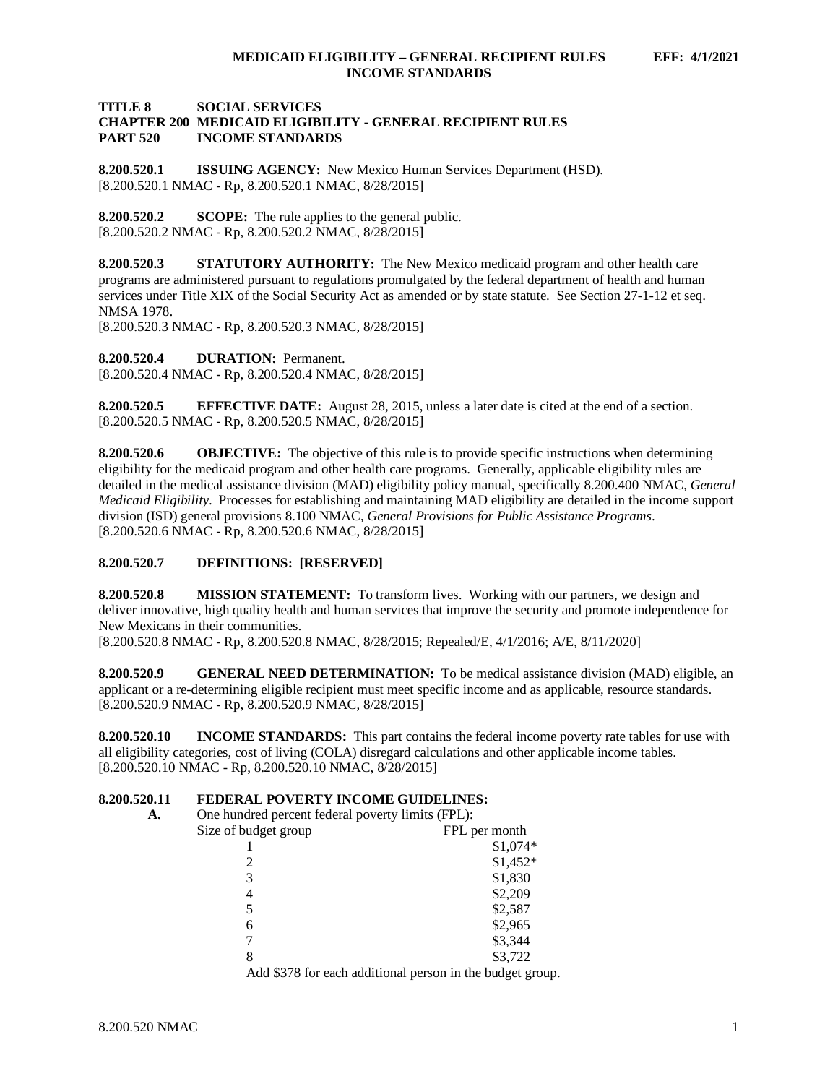# **TITLE 8 SOCIAL SERVICES CHAPTER 200 MEDICAID ELIGIBILITY - GENERAL RECIPIENT RULES INCOME STANDARDS**

<span id="page-1-0"></span>**8.200.520.1 ISSUING AGENCY:** New Mexico Human Services Department (HSD). [8.200.520.1 NMAC - Rp, 8.200.520.1 NMAC, 8/28/2015]

<span id="page-1-1"></span>**8.200.520.2 SCOPE:** The rule applies to the general public.  $[8.200.520.2 \text{ NMAC} - \text{Rp}, 8.200.520.2 \text{ NMAC}, 8/28/2015]$ 

<span id="page-1-2"></span>**8.200.520.3 STATUTORY AUTHORITY:** The New Mexico medicaid program and other health care programs are administered pursuant to regulations promulgated by the federal department of health and human services under Title XIX of the Social Security Act as amended or by state statute. See Section 27-1-12 et seq. NMSA 1978.

[8.200.520.3 NMAC - Rp, 8.200.520.3 NMAC, 8/28/2015]

<span id="page-1-3"></span>**8.200.520.4 DURATION:** Permanent.

[8.200.520.4 NMAC - Rp, 8.200.520.4 NMAC, 8/28/2015]

<span id="page-1-4"></span>**8.200.520.5 EFFECTIVE DATE:** August 28, 2015, unless a later date is cited at the end of a section. [8.200.520.5 NMAC - Rp, 8.200.520.5 NMAC, 8/28/2015]

<span id="page-1-5"></span>**8.200.520.6 OBJECTIVE:** The objective of this rule is to provide specific instructions when determining eligibility for the medicaid program and other health care programs. Generally, applicable eligibility rules are detailed in the medical assistance division (MAD) eligibility policy manual, specifically 8.200.400 NMAC, *General Medicaid Eligibility*. Processes for establishing and maintaining MAD eligibility are detailed in the income support division (ISD) general provisions 8.100 NMAC, *General Provisions for Public Assistance Programs*. [8.200.520.6 NMAC - Rp, 8.200.520.6 NMAC, 8/28/2015]

# <span id="page-1-6"></span>**8.200.520.7 DEFINITIONS: [RESERVED]**

<span id="page-1-7"></span>**8.200.520.8 MISSION STATEMENT:** To transform lives. Working with our partners, we design and deliver innovative, high quality health and human services that improve the security and promote independence for New Mexicans in their communities.

[8.200.520.8 NMAC - Rp, 8.200.520.8 NMAC, 8/28/2015; Repealed/E, 4/1/2016; A/E, 8/11/2020]

<span id="page-1-8"></span>**8.200.520.9 GENERAL NEED DETERMINATION:** To be medical assistance division (MAD) eligible, an applicant or a re-determining eligible recipient must meet specific income and as applicable, resource standards. [8.200.520.9 NMAC - Rp, 8.200.520.9 NMAC, 8/28/2015]

<span id="page-1-9"></span>**8.200.520.10 INCOME STANDARDS:** This part contains the federal income poverty rate tables for use with all eligibility categories, cost of living (COLA) disregard calculations and other applicable income tables. [8.200.520.10 NMAC - Rp, 8.200.520.10 NMAC, 8/28/2015]

# <span id="page-1-10"></span>**8.200.520.11 <b>FEDERAL POVERTY INCOME GUIDELINES:**<br>A. One hundred percent federal poverty limits (FPI.):

One hundred percent federal poverty limits (FPL):

| Size of budget group | FPL per month |
|----------------------|---------------|
|                      | \$1,074*      |
|                      | $$1,452*$     |
| 3                    | \$1,830       |
| 4                    | \$2,209       |
| 5                    | \$2,587       |
| 6                    | \$2,965       |
|                      | \$3,344       |
| 8                    | \$3,722       |
|                      |               |

Add \$378 for each additional person in the budget group.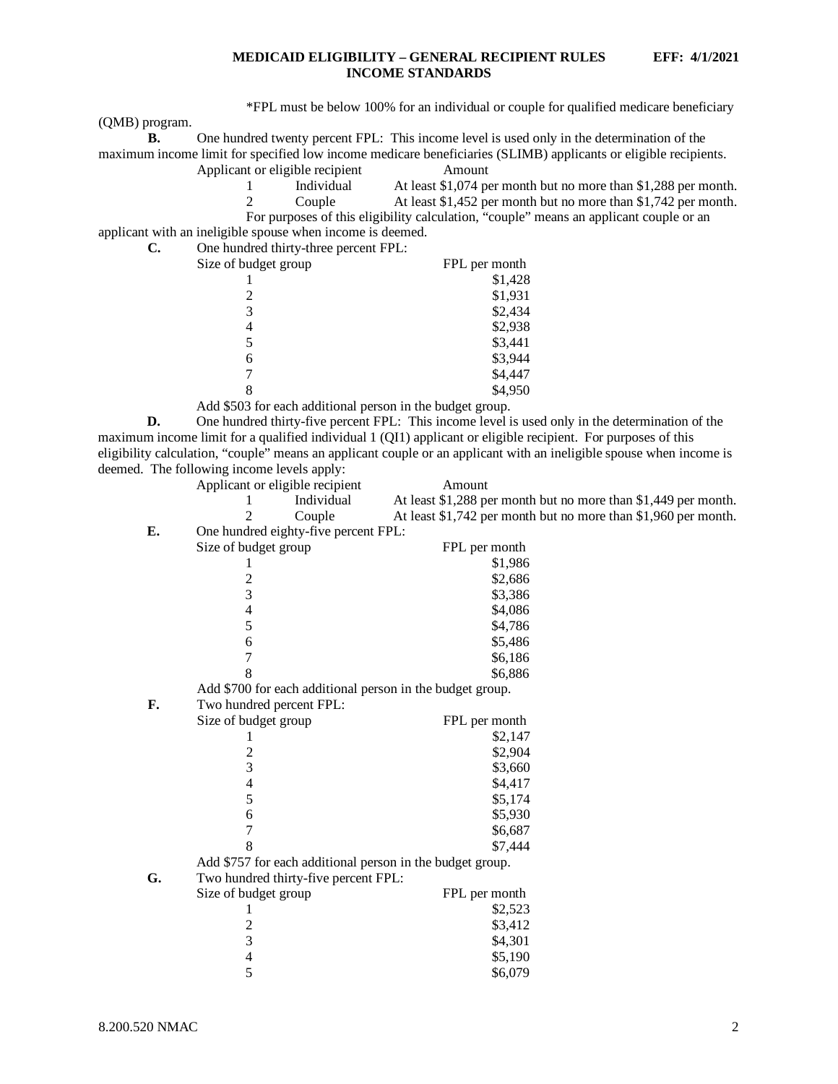\*FPL must be below 100% for an individual or couple for qualified medicare beneficiary

(QMB) program.

| One hundred twenty percent FPL: This income level is used only in the determination of the                      |        |  |
|-----------------------------------------------------------------------------------------------------------------|--------|--|
| maximum income limit for specified low income medicare beneficiaries (SLIMB) applicants or eligible recipients. |        |  |
| Applicant or eligible recipient                                                                                 | Amount |  |

|   | Individual | At least \$1,074 per month but no more than \$1,288 per month.                         |
|---|------------|----------------------------------------------------------------------------------------|
| 2 | Couple     | At least \$1,452 per month but no more than \$1,742 per month.                         |
|   |            | For purposes of this eligibility calculation, "couple" means an applicant couple or an |

applicant with an ineligible spouse when income is deemed.

| C. | One hundred thirty-three percent FPL:               |               |
|----|-----------------------------------------------------|---------------|
|    | Size of budget group                                | FPL per month |
|    |                                                     | \$1,428       |
|    |                                                     | \$1,931       |
|    |                                                     | \$2,434       |
|    | 4                                                   | \$2,938       |
|    |                                                     | \$3,441       |
|    | 6                                                   | \$3,944       |
|    |                                                     | \$4,447       |
|    |                                                     | \$4,950       |
|    | $\cdot$ $\cdot$ $\cdot$ $\sim$ $\sim$ $\sim$ $\sim$ |               |

Add \$503 for each additional person in the budget group.

**D.** One hundred thirty-five percent FPL: This income level is used only in the determination of the maximum income limit for a qualified individual 1 (QI1) applicant or eligible recipient. For purposes of this eligibility calculation, "couple" means an applicant couple or an applicant with an ineligible spouse when income is deemed. The following income levels apply:<br>Applicant or eligible recipie

| Applicant or eligible recipient |            | Amount                                                         |
|---------------------------------|------------|----------------------------------------------------------------|
|                                 | Individual | At least \$1,288 per month but no more than \$1,449 per month. |
|                                 | Couple     | At least \$1,742 per month but no more than \$1,960 per month. |
|                                 |            |                                                                |

**E.** One hundred eighty-five percent FPL:

|    | Size of budget group                                      | FPL per month |
|----|-----------------------------------------------------------|---------------|
|    | 1                                                         | \$1,986       |
|    |                                                           | \$2,686       |
|    | $\frac{2}{3}$                                             | \$3,386       |
|    | $\overline{4}$                                            | \$4,086       |
|    | 5                                                         | \$4,786       |
|    | 6                                                         | \$5,486       |
|    | 7                                                         | \$6,186       |
|    | 8                                                         | \$6,886       |
|    | Add \$700 for each additional person in the budget group. |               |
| F. | Two hundred percent FPL:                                  |               |
|    | Size of budget group                                      | FPL per month |
|    | 1                                                         | \$2,147       |
|    |                                                           | \$2,904       |
|    | $\frac{2}{3}$                                             | \$3,660       |
|    | $\overline{\mathcal{L}}$                                  | \$4,417       |
|    | 5                                                         | \$5,174       |
|    | 6                                                         | \$5,930       |
|    | $\overline{7}$                                            | \$6,687       |
|    | 8                                                         | \$7,444       |
|    | Add \$757 for each additional person in the budget group. |               |
| G. | Two hundred thirty-five percent FPL:                      |               |
|    | Size of budget group                                      | FPL per month |
|    | 1                                                         | \$2,523       |
|    |                                                           | \$3,412       |
|    | $\overline{3}$                                            | \$4,301       |
|    | $\overline{\mathcal{A}}$                                  | \$5,190       |
|    | 5                                                         | \$6,079       |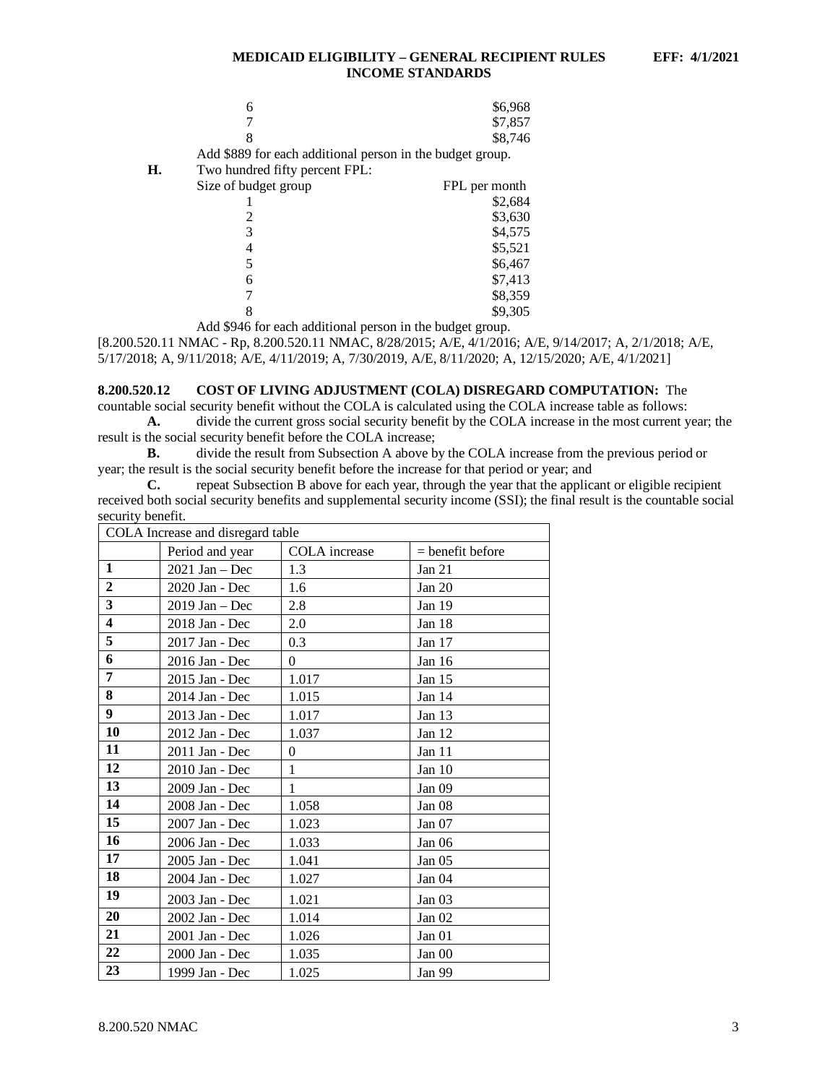|    | 6                                                         | \$6,968       |
|----|-----------------------------------------------------------|---------------|
|    |                                                           | \$7,857       |
|    | 8                                                         | \$8,746       |
|    | Add \$889 for each additional person in the budget group. |               |
| Н. | Two hundred fifty percent FPL:                            |               |
|    | Size of budget group                                      | FPL per month |
|    |                                                           | \$2,684       |
|    |                                                           | \$3,630       |
|    | 3                                                         | \$4,575       |
|    |                                                           | \$5,521       |
|    |                                                           | \$6,467       |
|    | 6                                                         | \$7,413       |
|    |                                                           | \$8,359       |
|    |                                                           | \$9,305       |
|    |                                                           |               |

Add \$946 for each additional person in the budget group.

[8.200.520.11 NMAC - Rp, 8.200.520.11 NMAC, 8/28/2015; A/E, 4/1/2016; A/E, 9/14/2017; A, 2/1/2018; A/E, 5/17/2018; A, 9/11/2018; A/E, 4/11/2019; A, 7/30/2019, A/E, 8/11/2020; A, 12/15/2020; A/E, 4/1/2021]

#### <span id="page-3-0"></span>**8.200.520.12 COST OF LIVING ADJUSTMENT (COLA) DISREGARD COMPUTATION:** The

countable social security benefit without the COLA is calculated using the COLA increase table as follows: **A.** divide the current gross social security benefit by the COLA increase in the most current year; the

result is the social security benefit before the COLA increase;

**B.** divide the result from Subsection A above by the COLA increase from the previous period or year; the result is the social security benefit before the increase for that period or year; and

**C.** repeat Subsection B above for each year, through the year that the applicant or eligible recipient received both social security benefits and supplemental security income (SSI); the final result is the countable social security benefit.

| COLA Increase and disregard table |                                                        |          |                   |  |  |  |  |
|-----------------------------------|--------------------------------------------------------|----------|-------------------|--|--|--|--|
|                                   | Period and year<br>$=$ benefit before<br>COLA increase |          |                   |  |  |  |  |
| $\mathbf{1}$                      | $2021$ Jan – Dec                                       | 1.3      | Jan 21            |  |  |  |  |
| $\overline{2}$                    | 2020 Jan - Dec                                         | 1.6      | Jan 20            |  |  |  |  |
| $\overline{\mathbf{3}}$           | $2019$ Jan – Dec                                       | 2.8      | Jan 19            |  |  |  |  |
| $\overline{\mathbf{4}}$           | 2018 Jan - Dec                                         | 2.0      | Jan 18            |  |  |  |  |
| 5                                 | 2017 Jan - Dec                                         | 0.3      | Jan 17            |  |  |  |  |
| 6                                 | 2016 Jan - Dec                                         | $\theta$ | Jan 16            |  |  |  |  |
| 7                                 | 2015 Jan - Dec                                         | 1.017    | Jan $15$          |  |  |  |  |
| 8                                 | 2014 Jan - Dec                                         | 1.015    | Jan 14            |  |  |  |  |
| 9                                 | 2013 Jan - Dec                                         | 1.017    | Jan 13            |  |  |  |  |
| 10                                | 2012 Jan - Dec                                         | 1.037    | Jan 12            |  |  |  |  |
| 11                                | 2011 Jan - Dec                                         | $\theta$ | Jan $11$          |  |  |  |  |
| 12                                | 2010 Jan - Dec                                         | 1        | Jan 10            |  |  |  |  |
| 13                                | 2009 Jan - Dec                                         | 1        | Jan <sub>09</sub> |  |  |  |  |
| 14                                | 2008 Jan - Dec                                         | 1.058    | Jan 08            |  |  |  |  |
| 15                                | 2007 Jan - Dec                                         | 1.023    | Jan 07            |  |  |  |  |
| 16                                | 2006 Jan - Dec                                         | 1.033    | Jan 06            |  |  |  |  |
| 17                                | 2005 Jan - Dec                                         | 1.041    | Jan 05            |  |  |  |  |
| 18                                | 2004 Jan - Dec                                         | 1.027    | Jan 04            |  |  |  |  |
| 19                                | 2003 Jan - Dec                                         | 1.021    | Jan <sub>03</sub> |  |  |  |  |
| 20                                | 2002 Jan - Dec                                         | 1.014    | Jan $02$          |  |  |  |  |
| 21                                | 2001 Jan - Dec                                         | 1.026    | Jan 01            |  |  |  |  |
| 22                                | 2000 Jan - Dec                                         | 1.035    | Jan 00            |  |  |  |  |
| 23                                | 1999 Jan - Dec                                         | 1.025    | Jan 99            |  |  |  |  |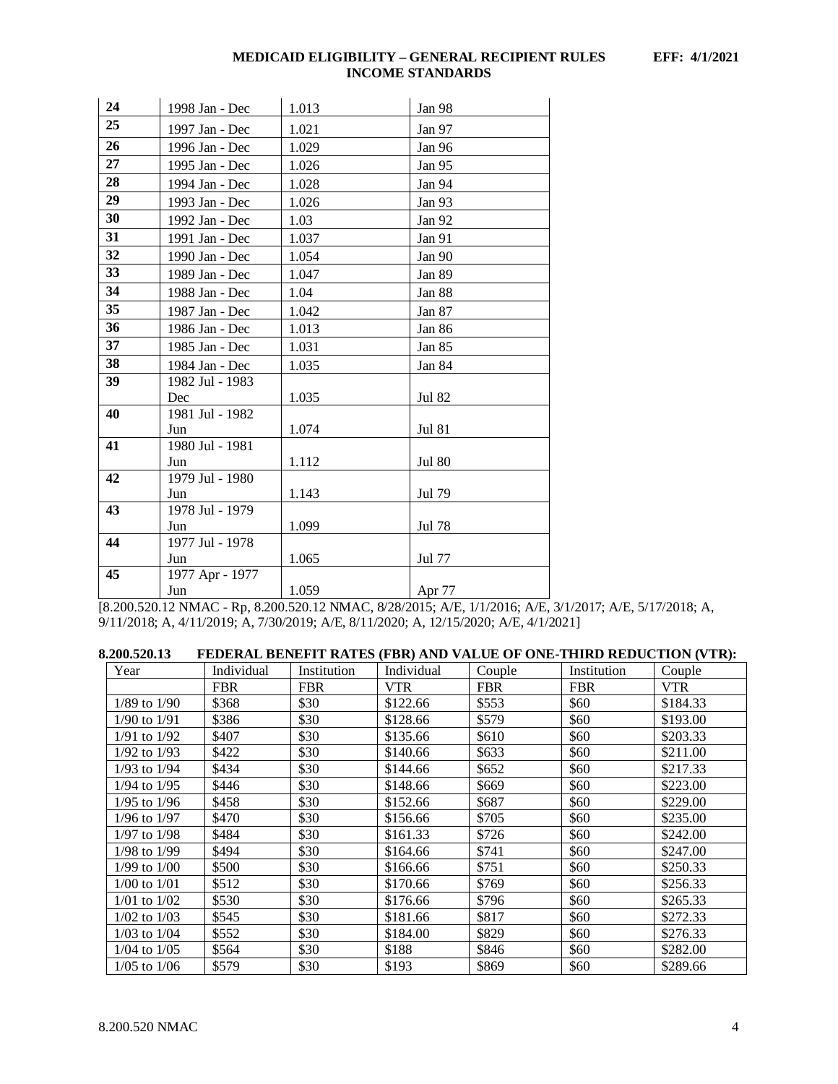| 24 | 1998 Jan - Dec  | 1.013 | Jan 98        |
|----|-----------------|-------|---------------|
| 25 | 1997 Jan - Dec  | 1.021 | Jan 97        |
| 26 | 1996 Jan - Dec  | 1.029 | Jan 96        |
| 27 | 1995 Jan - Dec  | 1.026 | Jan 95        |
| 28 | 1994 Jan - Dec  | 1.028 | Jan 94        |
| 29 | 1993 Jan - Dec  | 1.026 | Jan 93        |
| 30 | 1992 Jan - Dec  | 1.03  | Jan 92        |
| 31 | 1991 Jan - Dec  | 1.037 | Jan 91        |
| 32 | 1990 Jan - Dec  | 1.054 | Jan 90        |
| 33 | 1989 Jan - Dec  | 1.047 | Jan 89        |
| 34 | 1988 Jan - Dec  | 1.04  | Jan 88        |
| 35 | 1987 Jan - Dec  | 1.042 | Jan 87        |
| 36 | 1986 Jan - Dec  | 1.013 | Jan 86        |
| 37 | 1985 Jan - Dec  | 1.031 | Jan 85        |
| 38 | 1984 Jan - Dec  | 1.035 | Jan 84        |
| 39 | 1982 Jul - 1983 |       |               |
|    | Dec             | 1.035 | Jul 82        |
| 40 | 1981 Jul - 1982 |       |               |
|    | Jun             | 1.074 | <b>Jul 81</b> |
| 41 | 1980 Jul - 1981 |       |               |
|    | Jun             | 1.112 | <b>Jul 80</b> |
| 42 | 1979 Jul - 1980 |       |               |
|    | Jun             | 1.143 | Jul 79        |
| 43 | 1978 Jul - 1979 |       |               |
|    | Jun             | 1.099 | Jul 78        |
| 44 | 1977 Jul - 1978 |       |               |
|    | Jun             | 1.065 | Jul 77        |
| 45 | 1977 Apr - 1977 |       |               |
|    | Jun             | 1.059 | Apr 77        |

[8.200.520.12 NMAC - Rp, 8.200.520.12 NMAC, 8/28/2015; A/E, 1/1/2016; A/E, 3/1/2017; A/E, 5/17/2018; A, 9/11/2018; A, 4/11/2019; A, 7/30/2019; A/E, 8/11/2020; A, 12/15/2020; A/E, 4/1/2021]

<span id="page-4-0"></span>

| 8.200.520.13     |            |             |            |            |             | FEDERAL BENEFIT RATES (FBR) AND VALUE OF ONE-THIRD REDUCTION (VTR): |
|------------------|------------|-------------|------------|------------|-------------|---------------------------------------------------------------------|
| Year             | Individual | Institution | Individual | Couple     | Institution | Couple                                                              |
|                  | <b>FBR</b> | <b>FBR</b>  | <b>VTR</b> | <b>FBR</b> | <b>FBR</b>  | <b>VTR</b>                                                          |
| $1/89$ to $1/90$ | \$368      | \$30        | \$122.66   | \$553      | \$60        | \$184.33                                                            |
| $1/90$ to $1/91$ | \$386      | \$30        | \$128.66   | \$579      | \$60        | \$193.00                                                            |
| $1/91$ to $1/92$ | \$407      | \$30        | \$135.66   | \$610      | \$60        | \$203.33                                                            |
| $1/92$ to $1/93$ | \$422      | \$30        | \$140.66   | \$633      | \$60        | \$211.00                                                            |
| $1/93$ to $1/94$ | \$434      | \$30        | \$144.66   | \$652      | \$60        | \$217.33                                                            |
| $1/94$ to $1/95$ | \$446      | \$30        | \$148.66   | \$669      | \$60        | \$223.00                                                            |
| $1/95$ to $1/96$ | \$458      | \$30        | \$152.66   | \$687      | \$60        | \$229.00                                                            |
| $1/96$ to $1/97$ | \$470      | \$30        | \$156.66   | \$705      | \$60        | \$235.00                                                            |
| $1/97$ to $1/98$ | \$484      | \$30        | \$161.33   | \$726      | \$60        | \$242.00                                                            |
| $1/98$ to $1/99$ | \$494      | \$30        | \$164.66   | \$741      | \$60        | \$247.00                                                            |
| $1/99$ to $1/00$ | \$500      | \$30        | \$166.66   | \$751      | \$60        | \$250.33                                                            |
| $1/00$ to $1/01$ | \$512      | \$30        | \$170.66   | \$769      | \$60        | \$256.33                                                            |
| $1/01$ to $1/02$ | \$530      | \$30        | \$176.66   | \$796      | \$60        | \$265.33                                                            |
| $1/02$ to $1/03$ | \$545      | \$30        | \$181.66   | \$817      | \$60        | \$272.33                                                            |
| $1/03$ to $1/04$ | \$552      | \$30        | \$184.00   | \$829      | \$60        | \$276.33                                                            |
| $1/04$ to $1/05$ | \$564      | \$30        | \$188      | \$846      | \$60        | \$282.00                                                            |
| $1/05$ to $1/06$ | \$579      | \$30        | \$193      | \$869      | \$60        | \$289.66                                                            |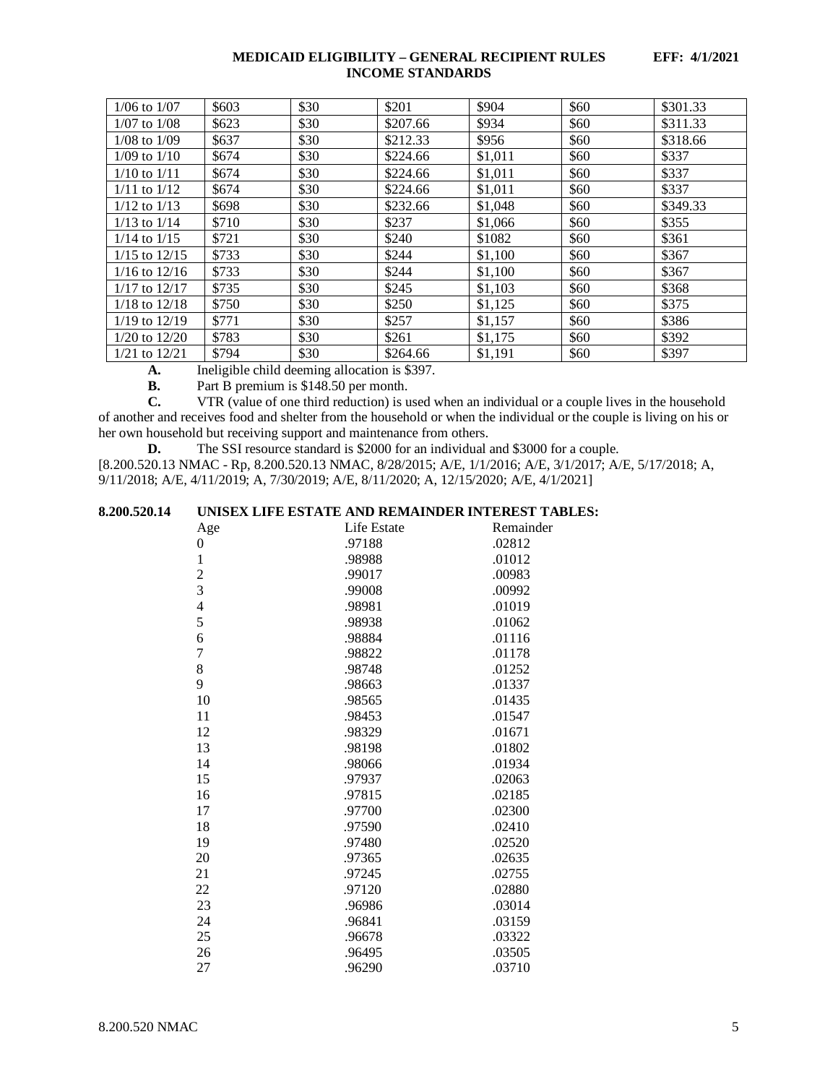| $1/06$ to $1/07$  | \$603 | \$30 | \$201    | \$904   | \$60 | \$301.33 |
|-------------------|-------|------|----------|---------|------|----------|
| $1/07$ to $1/08$  | \$623 | \$30 | \$207.66 | \$934   | \$60 | \$311.33 |
| $1/08$ to $1/09$  | \$637 | \$30 | \$212.33 | \$956   | \$60 | \$318.66 |
| $1/09$ to $1/10$  | \$674 | \$30 | \$224.66 | \$1,011 | \$60 | \$337    |
| $1/10$ to $1/11$  | \$674 | \$30 | \$224.66 | \$1,011 | \$60 | \$337    |
| $1/11$ to $1/12$  | \$674 | \$30 | \$224.66 | \$1,011 | \$60 | \$337    |
| $1/12$ to $1/13$  | \$698 | \$30 | \$232.66 | \$1,048 | \$60 | \$349.33 |
| $1/13$ to $1/14$  | \$710 | \$30 | \$237    | \$1,066 | \$60 | \$355    |
| $1/14$ to $1/15$  | \$721 | \$30 | \$240    | \$1082  | \$60 | \$361    |
| $1/15$ to $12/15$ | \$733 | \$30 | \$244    | \$1,100 | \$60 | \$367    |
| $1/16$ to $12/16$ | \$733 | \$30 | \$244    | \$1,100 | \$60 | \$367    |
| $1/17$ to $12/17$ | \$735 | \$30 | \$245    | \$1,103 | \$60 | \$368    |
| $1/18$ to $12/18$ | \$750 | \$30 | \$250    | \$1,125 | \$60 | \$375    |
| $1/19$ to $12/19$ | \$771 | \$30 | \$257    | \$1,157 | \$60 | \$386    |
| $1/20$ to $12/20$ | \$783 | \$30 | \$261    | \$1,175 | \$60 | \$392    |
| $1/21$ to $12/21$ | \$794 | \$30 | \$264.66 | \$1,191 | \$60 | \$397    |

**A.** Ineligible child deeming allocation is \$397.<br>**B.** Part B premium is \$148.50 per month.

Part B premium is \$148.50 per month.

**C.** VTR (value of one third reduction) is used when an individual or a couple lives in the household of another and receives food and shelter from the household or when the individual or the couple is living on his or her own household but receiving support and maintenance from others.

**D.** The SSI resource standard is \$2000 for an individual and \$3000 for a couple.

[8.200.520.13 NMAC - Rp, 8.200.520.13 NMAC, 8/28/2015; A/E, 1/1/2016; A/E, 3/1/2017; A/E, 5/17/2018; A, 9/11/2018; A/E, 4/11/2019; A, 7/30/2019; A/E, 8/11/2020; A, 12/15/2020; A/E, 4/1/2021]

# <span id="page-5-0"></span>**8.200.520.14 UNISEX LIFE ESTATE AND REMAINDER INTEREST TABLES:**

| Age            | Life Estate | Remainder |
|----------------|-------------|-----------|
| 0              | .97188      | .02812    |
| $\mathbf{1}$   | .98988      | .01012    |
|                | .99017      | .00983    |
| $\frac{2}{3}$  | .99008      | .00992    |
| $\overline{4}$ | .98981      | .01019    |
| 5              | .98938      | .01062    |
| 6              | .98884      | .01116    |
| $\overline{7}$ | .98822      | .01178    |
| 8              | .98748      | .01252    |
| 9              | .98663      | .01337    |
| 10             | .98565      | .01435    |
| 11             | .98453      | .01547    |
| 12             | .98329      | .01671    |
| 13             | .98198      | .01802    |
| 14             | .98066      | .01934    |
| 15             | .97937      | .02063    |
| 16             | .97815      | .02185    |
| 17             | .97700      | .02300    |
| 18             | .97590      | .02410    |
| 19             | .97480      | .02520    |
| 20             | .97365      | .02635    |
| 21             | .97245      | .02755    |
| 22             | .97120      | .02880    |
| 23             | .96986      | .03014    |
| 24             | .96841      | .03159    |
| 25             | .96678      | .03322    |
| 26             | .96495      | .03505    |
| 27             | .96290      | .03710    |
|                |             |           |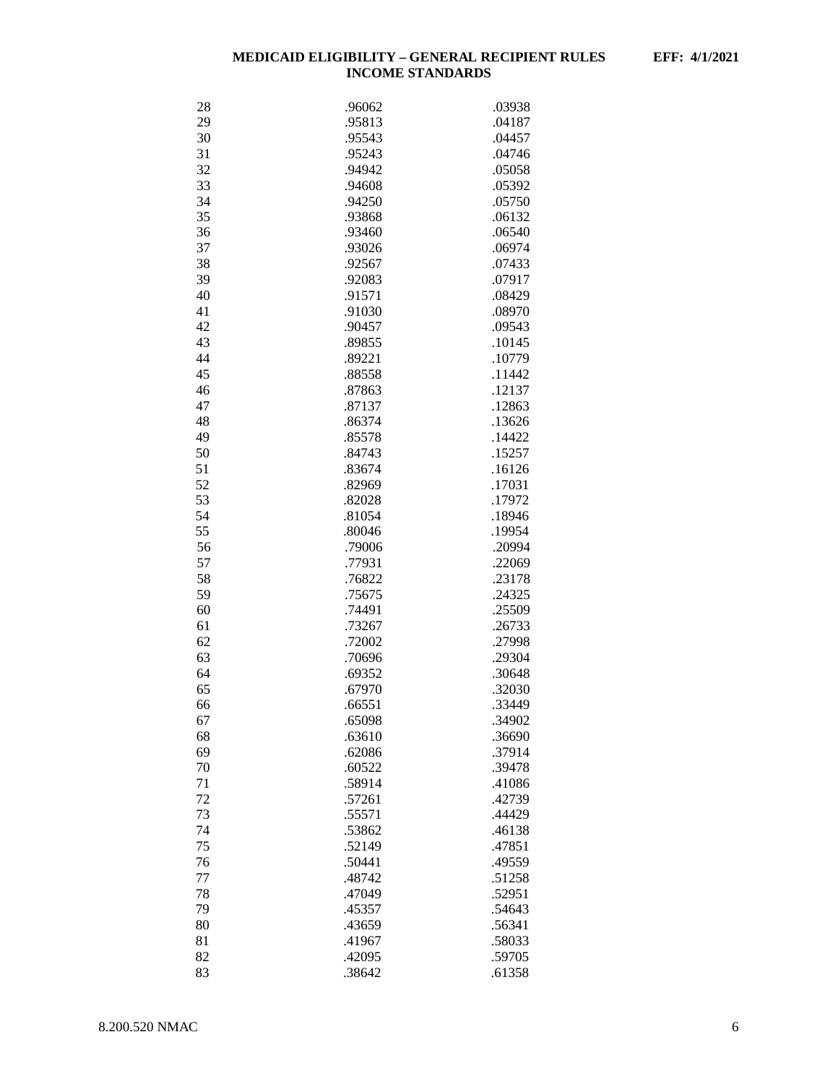| 28 | .96062 | .03938 |
|----|--------|--------|
| 29 | .95813 | .04187 |
| 30 | .95543 | .04457 |
| 31 | .95243 | .04746 |
| 32 | .94942 | .05058 |
| 33 | .94608 | .05392 |
| 34 | .94250 | .05750 |
|    |        |        |
| 35 | .93868 | .06132 |
| 36 | .93460 | .06540 |
| 37 | .93026 | .06974 |
| 38 | .92567 | .07433 |
| 39 | .92083 | .07917 |
| 40 | .91571 | .08429 |
| 41 | .91030 | .08970 |
| 42 | .90457 | .09543 |
| 43 | .89855 | .10145 |
| 44 | .89221 | .10779 |
| 45 | .88558 | .11442 |
| 46 | .87863 | .12137 |
| 47 | .87137 | .12863 |
| 48 | .86374 | .13626 |
| 49 | .85578 | .14422 |
| 50 | .84743 | .15257 |
|    |        |        |
| 51 | .83674 | .16126 |
| 52 | .82969 | .17031 |
| 53 | .82028 | .17972 |
| 54 | .81054 | .18946 |
| 55 | .80046 | .19954 |
| 56 | .79006 | .20994 |
| 57 | .77931 | .22069 |
| 58 | .76822 | .23178 |
| 59 | .75675 | .24325 |
| 60 | .74491 | .25509 |
| 61 | .73267 | .26733 |
| 62 | .72002 | .27998 |
| 63 | .70696 | .29304 |
| 64 | .69352 | .30648 |
| 65 | .67970 | .32030 |
| 66 | .66551 | 33449  |
| 67 | .65098 | .34902 |
| 68 | .63610 | .36690 |
| 69 | .62086 | .37914 |
| 70 | .60522 | .39478 |
|    | .58914 | .41086 |
| 71 |        |        |
| 72 | .57261 | .42739 |
| 73 | .55571 | .44429 |
| 74 | .53862 | .46138 |
| 75 | .52149 | .47851 |
| 76 | .50441 | .49559 |
| 77 | .48742 | .51258 |
| 78 | .47049 | .52951 |
| 79 | .45357 | .54643 |
| 80 | .43659 | .56341 |
| 81 | .41967 | .58033 |
| 82 | .42095 | .59705 |
| 83 | .38642 | .61358 |
|    |        |        |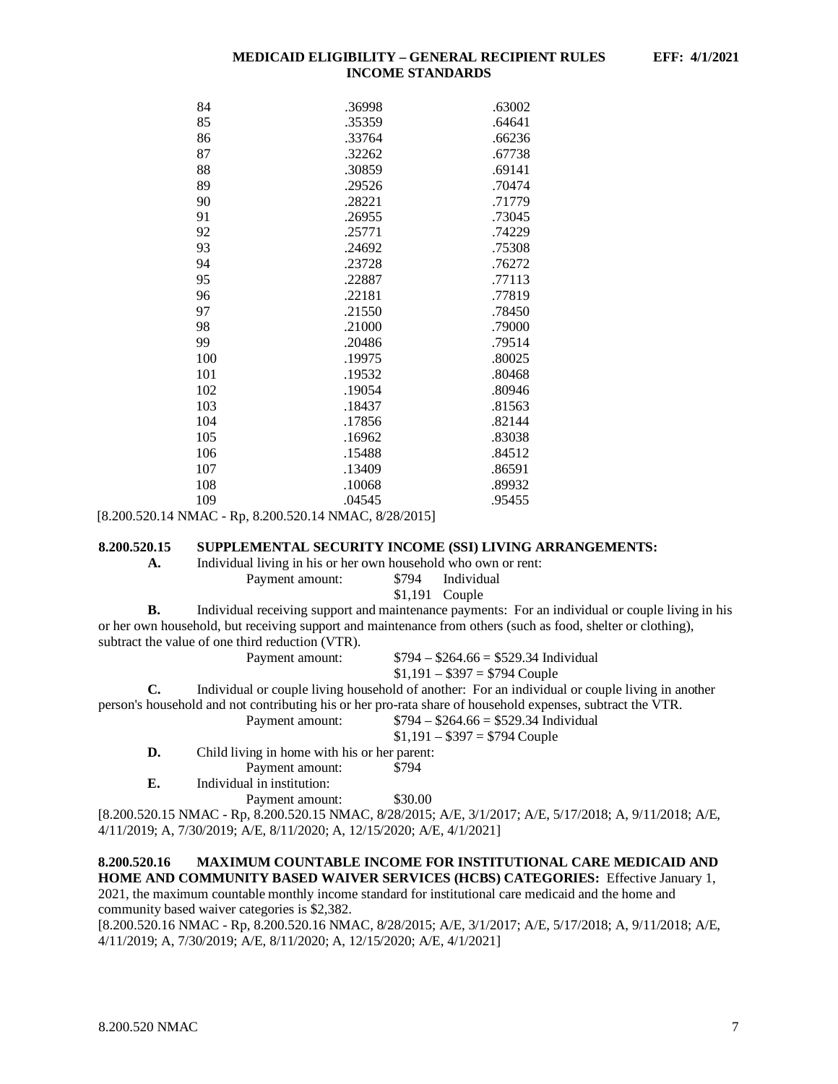| 84  | .36998 | .63002 |
|-----|--------|--------|
| 85  | .35359 | .64641 |
| 86  | .33764 | .66236 |
| 87  | .32262 | .67738 |
| 88  | .30859 | .69141 |
| 89  | .29526 | .70474 |
| 90  | .28221 | .71779 |
| 91  | .26955 | .73045 |
| 92  | .25771 | .74229 |
| 93  | .24692 | .75308 |
| 94  | .23728 | .76272 |
| 95  | .22887 | .77113 |
| 96  | .22181 | .77819 |
| 97  | .21550 | .78450 |
| 98  | .21000 | .79000 |
| 99  | .20486 | .79514 |
| 100 | .19975 | .80025 |
| 101 | .19532 | .80468 |
| 102 | .19054 | .80946 |
| 103 | .18437 | .81563 |
| 104 | .17856 | .82144 |
| 105 | .16962 | .83038 |
| 106 | .15488 | .84512 |
| 107 | .13409 | .86591 |
| 108 | .10068 | .89932 |
| 109 | .04545 | .95455 |
|     |        |        |

[8.200.520.14 NMAC - Rp, 8.200.520.14 NMAC, 8/28/2015]

#### <span id="page-7-0"></span>**8.200.520.15 SUPPLEMENTAL SECURITY INCOME (SSI) LIVING ARRANGEMENTS:**

**A.** Individual living in his or her own household who own or rent:<br>Payment amount:  $\frac{$794}{100}$  Individual

Payment amount:

\$1,191 Couple

**B.** Individual receiving support and maintenance payments: For an individual or couple living in his or her own household, but receiving support and maintenance from others (such as food, shelter or clothing), subtract the value of one third reduction (VTR).

| Payment amount: |  |
|-----------------|--|
|-----------------|--|

Payment amount: \$794 – \$264.66 = \$529.34 Individual  $$1,191 - $397 = $794$  Couple

**C.** Individual or couple living household of another: For an individual or couple living in another person's household and not contributing his or her pro-rata share of household expenses, subtract the VTR.

Payment amount: \$794 – \$264.66 = \$529.34 Individual

- $$1,191 $397 = $794$  Couple
- **D.** Child living in home with his or her parent:<br>Payment amount: \$794 Payment amount:

**E.** Individual in institution:

Payment amount: \$30.00

[8.200.520.15 NMAC - Rp, 8.200.520.15 NMAC, 8/28/2015; A/E, 3/1/2017; A/E, 5/17/2018; A, 9/11/2018; A/E, 4/11/2019; A, 7/30/2019; A/E, 8/11/2020; A, 12/15/2020; A/E, 4/1/2021]

#### <span id="page-7-1"></span>**8.200.520.16 MAXIMUM COUNTABLE INCOME FOR INSTITUTIONAL CARE MEDICAID AND HOME AND COMMUNITY BASED WAIVER SERVICES (HCBS) CATEGORIES:** Effective January 1,

2021, the maximum countable monthly income standard for institutional care medicaid and the home and community based waiver categories is \$2,382.

[8.200.520.16 NMAC - Rp, 8.200.520.16 NMAC, 8/28/2015; A/E, 3/1/2017; A/E, 5/17/2018; A, 9/11/2018; A/E, 4/11/2019; A, 7/30/2019; A/E, 8/11/2020; A, 12/15/2020; A/E, 4/1/2021]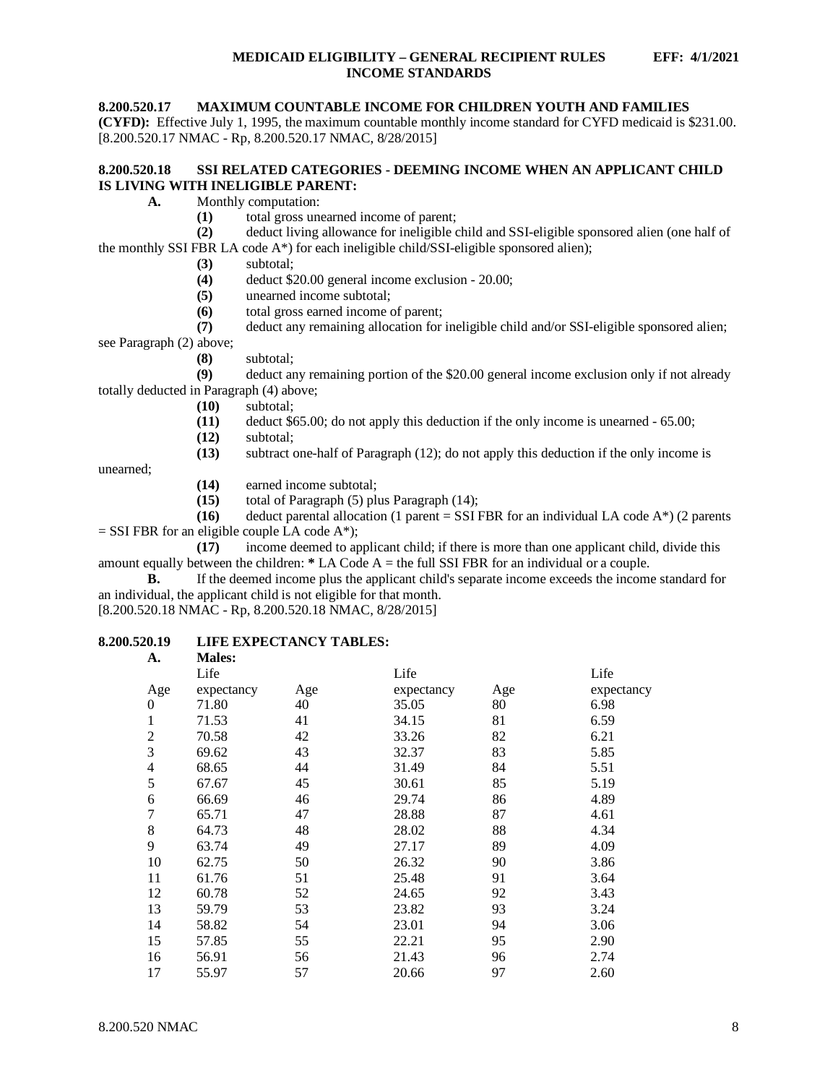# <span id="page-8-0"></span>**8.200.520.17 MAXIMUM COUNTABLE INCOME FOR CHILDREN YOUTH AND FAMILIES**

**(CYFD):** Effective July 1, 1995, the maximum countable monthly income standard for CYFD medicaid is \$231.00. [8.200.520.17 NMAC - Rp, 8.200.520.17 NMAC, 8/28/2015]

# <span id="page-8-1"></span>**8.200.520.18 SSI RELATED CATEGORIES - DEEMING INCOME WHEN AN APPLICANT CHILD IS LIVING WITH INELIGIBLE PARENT:**

- **A.** Monthly computation:
	- (1) total gross unearned income of parent;<br>(2) deduct living allowance for ineligible of

**(2)** deduct living allowance for ineligible child and SSI-eligible sponsored alien (one half of the monthly SSI FBR LA code A\*) for each ineligible child/SSI-eligible sponsored alien);

- **(3)** subtotal;
- **(4)** deduct \$20.00 general income exclusion 20.00;
- **(5)** unearned income subtotal;
- **(6)** total gross earned income of parent;

**(7)** deduct any remaining allocation for ineligible child and/or SSI-eligible sponsored alien; see Paragraph (2) above;

**(8)** subtotal;

**(9)** deduct any remaining portion of the \$20.00 general income exclusion only if not already totally deducted in Paragraph (4) above;

- **(10)** subtotal;
- **(11)** deduct \$65.00; do not apply this deduction if the only income is unearned 65.00;
- **(12)** subtotal;

**(13)** subtract one-half of Paragraph (12); do not apply this deduction if the only income is

unearned;

- **(14)** earned income subtotal;
- **(15)** total of Paragraph (5) plus Paragraph (14);

**(16)** deduct parental allocation (1 parent = SSI FBR for an individual LA code  $A^*$ ) (2 parents  $=$  SSI FBR for an eligible couple LA code A\*);<br>(17) income deemed to ap

income deemed to applicant child; if there is more than one applicant child, divide this amount equally between the children: **\*** LA Code A = the full SSI FBR for an individual or a couple.

**B.** If the deemed income plus the applicant child's separate income exceeds the income standard for an individual, the applicant child is not eligible for that month.

[8.200.520.18 NMAC - Rp, 8.200.520.18 NMAC, 8/28/2015]

#### <span id="page-8-2"></span>**8.200.520.19 LIFE EXPECTANCY TABLES: A. Males:**

| .        | 1110163.   |     |            |     |            |
|----------|------------|-----|------------|-----|------------|
|          | Life       |     | Life       |     | Life       |
| Age      | expectancy | Age | expectancy | Age | expectancy |
| $\Omega$ | 71.80      | 40  | 35.05      | 80  | 6.98       |
| 1        | 71.53      | 41  | 34.15      | 81  | 6.59       |
| 2        | 70.58      | 42  | 33.26      | 82  | 6.21       |
| 3        | 69.62      | 43  | 32.37      | 83  | 5.85       |
| 4        | 68.65      | 44  | 31.49      | 84  | 5.51       |
| 5        | 67.67      | 45  | 30.61      | 85  | 5.19       |
| 6        | 66.69      | 46  | 29.74      | 86  | 4.89       |
| 7        | 65.71      | 47  | 28.88      | 87  | 4.61       |
| 8        | 64.73      | 48  | 28.02      | 88  | 4.34       |
| 9        | 63.74      | 49  | 27.17      | 89  | 4.09       |
| 10       | 62.75      | 50  | 26.32      | 90  | 3.86       |
| 11       | 61.76      | 51  | 25.48      | 91  | 3.64       |
| 12       | 60.78      | 52  | 24.65      | 92  | 3.43       |
| 13       | 59.79      | 53  | 23.82      | 93  | 3.24       |
| 14       | 58.82      | 54  | 23.01      | 94  | 3.06       |
| 15       | 57.85      | 55  | 22.21      | 95  | 2.90       |
| 16       | 56.91      | 56  | 21.43      | 96  | 2.74       |
| 17       | 55.97      | 57  | 20.66      | 97  | 2.60       |
|          |            |     |            |     |            |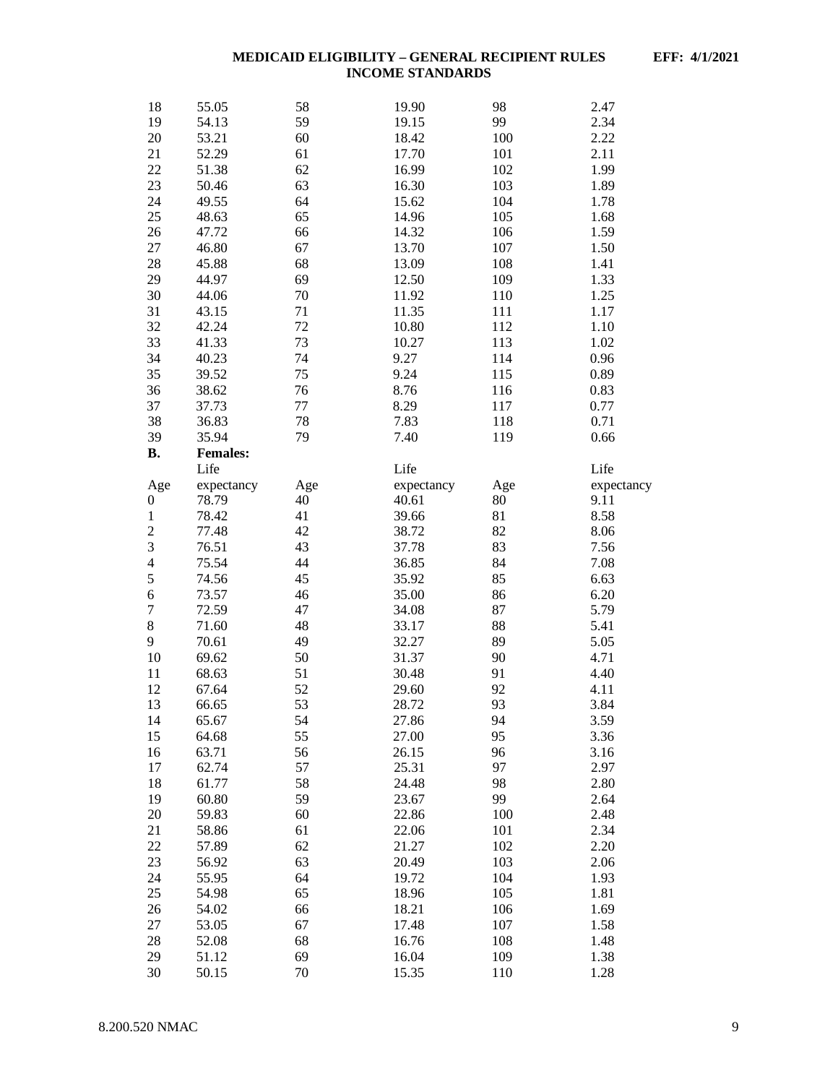| 18               | 55.05           | 58  | 19.90          | 98  | 2.47       |
|------------------|-----------------|-----|----------------|-----|------------|
| 19               | 54.13           | 59  | 19.15          | 99  | 2.34       |
| 20               | 53.21           | 60  | 18.42          | 100 | 2.22       |
| 21               | 52.29           | 61  | 17.70          | 101 | 2.11       |
| $22\,$           | 51.38           | 62  | 16.99          | 102 | 1.99       |
| 23               | 50.46           | 63  | 16.30          | 103 | 1.89       |
| 24               | 49.55           | 64  | 15.62          | 104 | 1.78       |
| 25               | 48.63           | 65  | 14.96          | 105 | 1.68       |
| 26               | 47.72           | 66  | 14.32          | 106 | 1.59       |
| 27               | 46.80           | 67  | 13.70          | 107 | 1.50       |
| 28               | 45.88           | 68  | 13.09          | 108 | 1.41       |
| 29               | 44.97           | 69  | 12.50          | 109 | 1.33       |
| 30               | 44.06           | 70  | 11.92          | 110 | 1.25       |
| 31               | 43.15           | 71  | 11.35          | 111 | 1.17       |
| 32               | 42.24           | 72  | 10.80          | 112 | 1.10       |
| 33               | 41.33           | 73  | 10.27          | 113 | 1.02       |
| 34               | 40.23           | 74  | 9.27           | 114 | 0.96       |
| 35               | 39.52           | 75  | 9.24           | 115 | 0.89       |
| 36               | 38.62           | 76  | 8.76           | 116 | 0.83       |
| 37               | 37.73           | 77  | 8.29           | 117 | 0.77       |
| 38               | 36.83           | 78  | 7.83           | 118 | 0.71       |
| 39               | 35.94           | 79  | 7.40           | 119 | 0.66       |
| <b>B.</b>        | <b>Females:</b> |     |                |     |            |
|                  | Life            |     | Life           |     | Life       |
| Age              | expectancy      | Age | expectancy     | Age | expectancy |
| $\boldsymbol{0}$ | 78.79           | 40  | 40.61          | 80  | 9.11       |
| $\mathbf{1}$     | 78.42           | 41  | 39.66          | 81  | 8.58       |
| $\overline{c}$   | 77.48           | 42  | 38.72          | 82  | 8.06       |
| 3                | 76.51           | 43  | 37.78          | 83  | 7.56       |
| $\overline{4}$   | 75.54           | 44  | 36.85          | 84  | 7.08       |
| 5                | 74.56           | 45  | 35.92          | 85  | 6.63       |
| $\boldsymbol{6}$ | 73.57           | 46  | 35.00          | 86  | 6.20       |
| $\sqrt{ }$       | 72.59           | 47  | 34.08          | 87  | 5.79       |
| $\,8\,$          | 71.60           | 48  | 33.17          | 88  | 5.41       |
| 9                | 70.61           | 49  | 32.27          | 89  | 5.05       |
| 10               | 69.62           | 50  | 31.37          | 90  | 4.71       |
| 11               | 68.63           | 51  | 30.48          | 91  | 4.40       |
| 12               | 67.64           | 52  | 29.60          | 92  | 4.11       |
| 13               | 66.65           | 53  | 28.72          | 93  | 3.84       |
| 14               | 65.67           | 54  | 27.86          | 94  | 3.59       |
| 15               | 64.68           | 55  | 27.00          | 95  | 3.36       |
| 16               | 63.71           | 56  | 26.15          | 96  | 3.16       |
| 17               | 62.74           | 57  | 25.31          | 97  | 2.97       |
| 18               | 61.77           | 58  | 24.48          | 98  | 2.80       |
| 19               | 60.80           | 59  | 23.67          | 99  | 2.64       |
| 20               | 59.83           | 60  | 22.86          | 100 | 2.48       |
| 21               | 58.86           | 61  | 22.06          | 101 | 2.34       |
| 22               | 57.89           | 62  | 21.27          | 102 | 2.20       |
| 23               | 56.92           | 63  | 20.49          | 103 | 2.06       |
| 24               | 55.95           | 64  | 19.72          | 104 | 1.93       |
| 25               | 54.98           | 65  |                | 105 | 1.81       |
|                  | 54.02           | 66  | 18.96<br>18.21 | 106 | 1.69       |
| 26               |                 |     |                |     |            |
| 27               | 53.05           | 67  | 17.48          | 107 | 1.58       |
| 28               | 52.08           | 68  | 16.76          | 108 | 1.48       |
| 29               | 51.12           | 69  | 16.04          | 109 | 1.38       |
| 30               | 50.15           | 70  | 15.35          | 110 | 1.28       |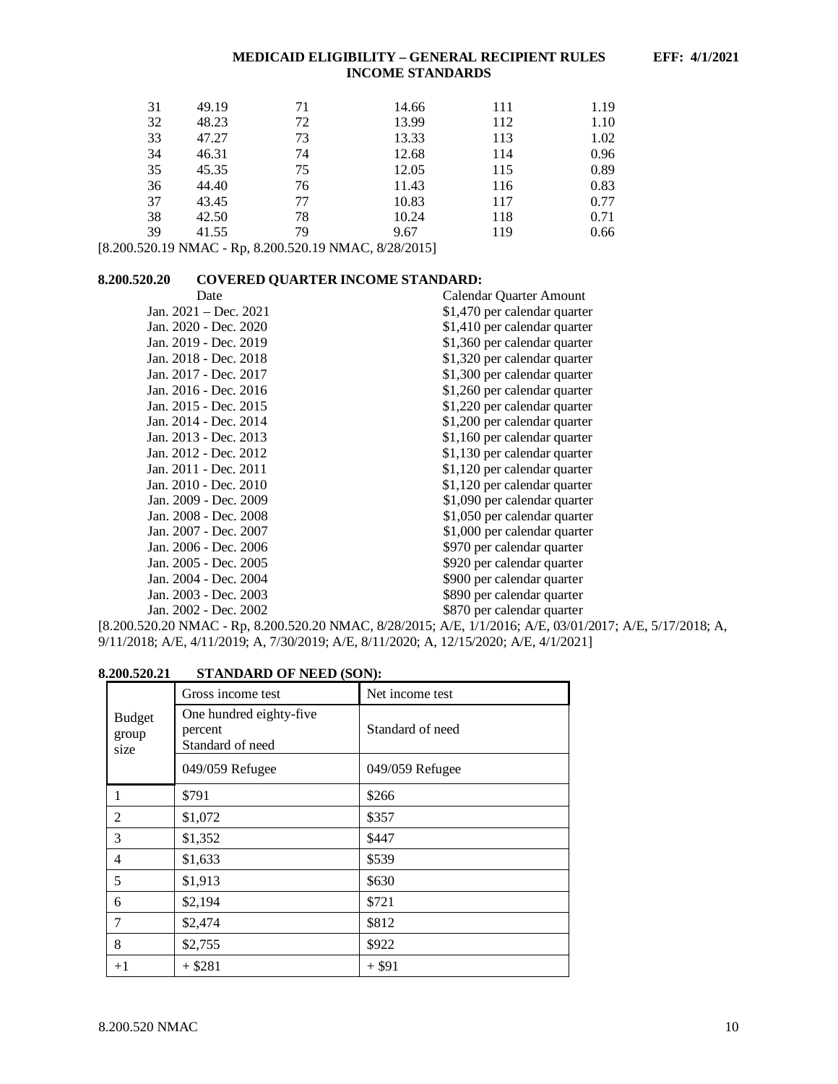| 31 | 49.19 | 71 | 14.66 | 111 | 1.19 |
|----|-------|----|-------|-----|------|
| 32 | 48.23 | 72 | 13.99 | 112 | 1.10 |
| 33 | 47.27 | 73 | 13.33 | 113 | 1.02 |
| 34 | 46.31 | 74 | 12.68 | 114 | 0.96 |
| 35 | 45.35 | 75 | 12.05 | 115 | 0.89 |
| 36 | 44.40 | 76 | 11.43 | 116 | 0.83 |
| 37 | 43.45 | 77 | 10.83 | 117 | 0.77 |
| 38 | 42.50 | 78 | 10.24 | 118 | 0.71 |
| 39 | 41.55 | 79 | 9.67  | 119 | 0.66 |

[8.200.520.19 NMAC - Rp, 8.200.520.19 NMAC, 8/28/2015]

# <span id="page-10-0"></span>**8.200.520.20 COVERED QUARTER INCOME STANDARD:**

| Date                    | Calendar Ouarter Amount      |
|-------------------------|------------------------------|
| Jan. $2021 - Dec. 2021$ | \$1,470 per calendar quarter |
| Jan. 2020 - Dec. 2020   | \$1,410 per calendar quarter |
| Jan. 2019 - Dec. 2019   | \$1,360 per calendar quarter |
| Jan. 2018 - Dec. 2018   | \$1,320 per calendar quarter |
| Jan. 2017 - Dec. 2017   | \$1,300 per calendar quarter |
| Jan. 2016 - Dec. 2016   | \$1,260 per calendar quarter |
| Jan. 2015 - Dec. 2015   | \$1,220 per calendar quarter |
| Jan. 2014 - Dec. 2014   | \$1,200 per calendar quarter |
| Jan. 2013 - Dec. 2013   | \$1,160 per calendar quarter |
| Jan. 2012 - Dec. 2012   | \$1,130 per calendar quarter |
| Jan. 2011 - Dec. 2011   | \$1,120 per calendar quarter |
| Jan. 2010 - Dec. 2010   | \$1,120 per calendar quarter |
| Jan. 2009 - Dec. 2009   | \$1,090 per calendar quarter |
| Jan. 2008 - Dec. 2008   | \$1,050 per calendar quarter |
| Jan. 2007 - Dec. 2007   | \$1,000 per calendar quarter |
| Jan. 2006 - Dec. 2006   | \$970 per calendar quarter   |
| Jan. 2005 - Dec. 2005   | \$920 per calendar quarter   |
| Jan. 2004 - Dec. 2004   | \$900 per calendar quarter   |
| Jan. 2003 - Dec. 2003   | \$890 per calendar quarter   |
| Jan. 2002 - Dec. 2002   | \$870 per calendar quarter   |

[8.200.520.20 NMAC - Rp, 8.200.520.20 NMAC, 8/28/2015; A/E, 1/1/2016; A/E, 03/01/2017; A/E, 5/17/2018; A, 9/11/2018; A/E, 4/11/2019; A, 7/30/2019; A/E, 8/11/2020; A, 12/15/2020; A/E, 4/1/2021]

# <span id="page-10-1"></span>**8.200.520.21 STANDARD OF NEED (SON):**

|                                | Gross income test                                      | Net income test  |
|--------------------------------|--------------------------------------------------------|------------------|
| <b>Budget</b><br>group<br>size | One hundred eighty-five<br>percent<br>Standard of need | Standard of need |
|                                | 049/059 Refugee                                        | 049/059 Refugee  |
|                                | \$791                                                  | \$266            |
| 2                              | \$1,072                                                | \$357            |
| 3                              | \$1,352                                                | \$447            |
| 4                              | \$1,633                                                | \$539            |
| 5                              | \$1,913                                                | \$630            |
| 6                              | \$2,194                                                | \$721            |
|                                | \$2,474                                                | \$812            |
| 8                              | \$2,755                                                | \$922            |
| $+1$                           | $+$ \$281                                              | $+$ \$91         |